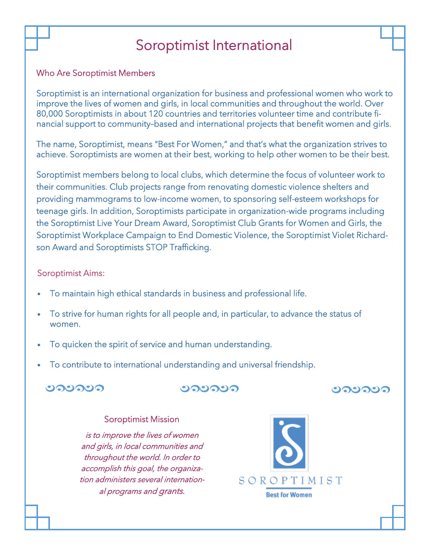# Soroptimist International

#### Who Are Soroptimist Members

Soroptimist is an international organization for business and professional women who work to improve the lives of women and girls, in local communities and throughout the world. Over 80,000 Soroptimists in about 120 countries and territories volunteer time and contribute financial support to community–based and international projects that benefit women and girls.

The name, Soroptimist, means "Best For Women," and that's what the organization strives to achieve. Soroptimists are women at their best, working to help other women to be their best.

Soroptimist members belong to local clubs, which determine the focus of volunteer work to their communities. Club projects range from renovating domestic violence shelters and providing mammograms to low-income women, to sponsoring self-esteem workshops for teenage girls. In addition, Soroptimists participate in organization-wide programs including the Soroptimist Live Your Dream Award, Soroptimist Club Grants for Women and Girls, the Soroptimist Workplace Campaign to End Domestic Violence, the Soroptimist Violet Richardson Award and Soroptimists STOP Trafficking.

#### Soroptimist Aims:

- To maintain high ethical standards in business and professional life.
- To strive for human rights for all people and, in particular, to advance the status of women.
- To quicken the spirit of service and human understanding.
- To contribute to international understanding and universal friendship.

## ပါသတ္ေ

### ပါသော

### Soroptimist Mission

is to improve the lives of women and girls, in local communities and throughout the world. In order to accomplish this goal, the organization administers several international programs and grants.